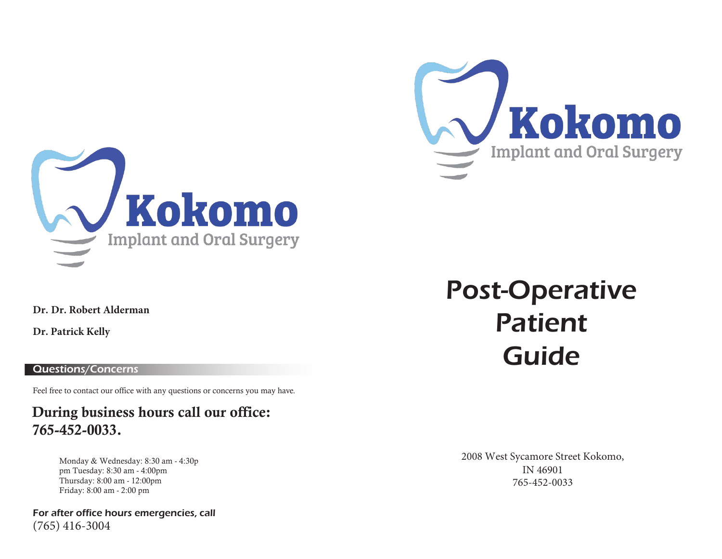



**Dr. Dr. Robert Alderman**

**Dr. Patrick Kelly**

# Questions/Concerns

Feel free to contact our office with any questions or concerns you may have.

# During business hours call our office: 765-452-0033.

Monday & Wednesday: 8:30 am - 4:30p pm Tuesday: 8:30 am - 4:00pm Thursday: 8:00 am - 12:00pm Friday: 8:00 am - 2:00 pm

For after office hours emergencies, call (765) 416-3004

# Post-Operative Patient Guide

2008 West Sycamore Street Kokomo, IN 46901 765-452-0033